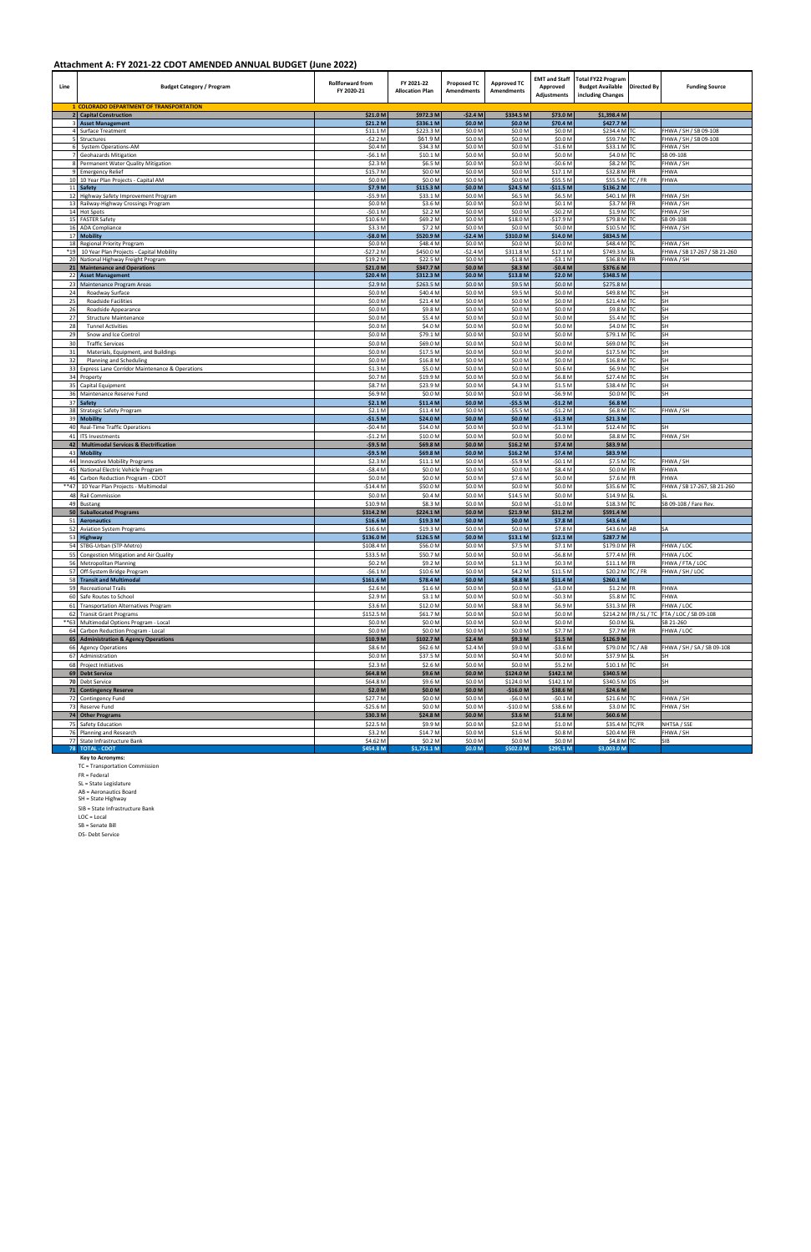| Line        | <b>Budget Category / Program</b>                                                | <b>Rollforward from</b><br>FY 2020-21 | FY 2021-22<br><b>Allocation Plan</b> | <b>Proposed TC</b><br><b>Amendments</b> | <b>Approved TC</b><br><b>Amendments</b> | <b>EMT and Staff</b><br>Approved<br><b>Adjustments</b> | <b>Total FY22 Program</b><br><b>Budget Available</b><br>including Changes | <b>Directed By</b> | <b>Funding Source</b>                                     |
|-------------|---------------------------------------------------------------------------------|---------------------------------------|--------------------------------------|-----------------------------------------|-----------------------------------------|--------------------------------------------------------|---------------------------------------------------------------------------|--------------------|-----------------------------------------------------------|
|             | 1 COLORADO DEPARTMENT OF TRANSPORTATION<br>2 Capital Construction               | \$21.0 M                              | \$972.3 M                            | $-52.4M$                                | \$334.5 M                               | \$73.0 M                                               | \$1,398.4 M                                                               |                    |                                                           |
|             | 3 Asset Management                                                              | \$21.2 M                              | \$336.1 M                            | \$0.0 M                                 | \$0.0 M                                 | \$70.4 M                                               | \$427.7 M                                                                 |                    |                                                           |
| 4           | Surface Treatment                                                               | \$11.1 M                              | \$223.3 M                            | \$0.0 M                                 | \$0.0 M                                 | \$0.0 M                                                | \$234.4 M TC                                                              |                    | FHWA / SH / SB 09-108                                     |
| 6           | Structures<br>System Operations-AM                                              | $-52.2N$<br>\$0.4 M                   | \$61.9 M<br>\$34.3 M                 | \$0.0 M<br>\$0.0 M                      | \$0.0 M<br>\$0.0 M                      | \$0.0 M<br>$-$1.6 M$                                   | \$59.7 M TC<br>\$33.1 M TC                                                |                    | FHWA / SH / SB 09-108<br>FHWA / SH                        |
|             | <b>Geohazards Mitigation</b>                                                    | $-56.1$ M                             | \$10.1 M                             | \$0.0 M                                 | \$0.0 M                                 | \$0.0 M                                                | \$4.0 M TC                                                                |                    | SB 09-108                                                 |
|             | Permanent Water Quality Mitigation                                              | \$2.3 M                               | \$6.5 M                              | \$0.0 M                                 | \$0.0 M                                 | $-50.6M$                                               | \$8.2 M TC                                                                |                    | FHWA / SH                                                 |
| q           | <b>Emergency Relief</b>                                                         | \$15.7 M                              | \$0.0 M                              | \$0.0 M                                 | \$0.0 M                                 | \$17.1 M                                               | \$32.8 M FR                                                               |                    | FHWA                                                      |
|             | 10 10 Year Plan Projects - Capital AM<br>11 Safety                              | \$0.0 M<br>\$7.9 M                    | \$0.0 M<br>\$115.3 M                 | \$0.0 M<br>\$0.0 M                      | \$0.0 M<br>\$24.5 M                     | \$55.5 M<br>$-$11.5 M$                                 | \$55.5 M TC / FR<br>\$136.2 M                                             |                    | <b>FHWA</b>                                               |
| 12          | Highway Safety Improvement Program                                              | $-$ \$5.9 M                           | \$33.1 M                             | \$0.0 M                                 | \$6.5 M                                 | \$6.5 M                                                | \$40.1 M FR                                                               |                    | FHWA / SH                                                 |
| 13          | Railway-Highway Crossings Program                                               | \$0.0 M                               | \$3.6 M                              | \$0.0 M                                 | \$0.0 M                                 | \$0.1 M                                                | \$3.7 M FR                                                                |                    | FHWA / SH                                                 |
|             | 14 Hot Spots<br>15 FASTER Safety                                                | $-50.1N$<br>\$10.6 M                  | \$2.2 M<br>\$69.2 M                  | \$0.0 M<br>\$0.0 M                      | \$0.0 M<br>\$18.0 M                     | $-50.2$ M<br>-\$17.9 M                                 | \$1.9 M TC<br>\$79.8 M TC                                                 |                    | FHWA / SH<br>SB 09-108                                    |
| 16          | <b>ADA Compliance</b>                                                           | \$3.3 M                               | \$7.2 M                              | \$0.0 M                                 | \$0.0 M                                 | \$0.0 M                                                | \$10.5 M TC                                                               |                    | FHWA / SH                                                 |
| 17          | <b>Mobility</b>                                                                 | $-58.0 M$                             | \$520.9 M                            | $-52.4M$                                | \$310.0 M                               | \$14.0 M                                               | \$834.5 M                                                                 |                    |                                                           |
| 18<br>$*19$ | <b>Regional Priority Program</b>                                                | \$0.0 M<br>$-527.2N$                  | \$48.4 M<br>\$450.0 M                | \$0.0 M<br>$-52.4M$                     | \$0.0 M<br>\$311.8 M                    | \$0.0 M<br>\$17.1 M                                    | \$48.4 M TC<br>\$749.3 M SL                                               |                    | FHWA / SH<br>FHWA / SB 17-267 / SB 21-260                 |
|             | 10 Year Plan Projects - Capital Mobility<br>20 National Highway Freight Program | \$19.2 M                              | \$22.5 M                             | \$0.0 M                                 | $-51.8M$                                | $-53.1 M$                                              | \$36.8 M FR                                                               |                    | FHWA / SH                                                 |
|             | 21 Maintenance and Operations                                                   | \$21.0 M                              | \$347.7 M                            | \$0.0 M                                 | \$8.3 M                                 | $-50.4M$                                               | \$376.6 M                                                                 |                    |                                                           |
|             | 22 Asset Management                                                             | \$20.4 M                              | \$312.3 M                            | \$0.0 M                                 | \$13.8 M                                | \$2.0 M                                                | \$348.5 M                                                                 |                    |                                                           |
| 23<br>24    | Maintenance Program Areas<br>Roadway Surface                                    | \$2.9 M<br>\$0.0 N                    | \$263.5 M<br>\$40.4 M                | \$0.0 M<br>\$0.0 M                      | \$9.5 M<br>\$9.5 M                      | \$0.0 M<br>\$0.0 M                                     | \$275.8 M<br>\$49.8 M TC                                                  |                    | SH                                                        |
| 25          | <b>Roadside Facilities</b>                                                      | \$0.0 N                               | \$21.4 M                             | \$0.0 M                                 | \$0.0 M                                 | \$0.0 M                                                | \$21.4 M                                                                  | TC                 | SH                                                        |
| 26          | Roadside Appearance                                                             | \$0.0 M                               | \$9.8 M                              | \$0.0 M                                 | \$0.0 M                                 | \$0.0 M                                                | \$9.8 M TC                                                                |                    | SH                                                        |
| 27          | <b>Structure Maintenance</b>                                                    | \$0.0 M                               | \$5.4 M                              | \$0.0 M                                 | \$0.0 M                                 | \$0.0 M                                                | \$5.4 M                                                                   | <b>TC</b>          | SH                                                        |
| 28          | <b>Tunnel Activities</b>                                                        | \$0.0 M                               | \$4.0 M                              | \$0.0 M                                 | \$0.0 M                                 | \$0.0 M                                                | \$4.0 M TC                                                                |                    | SH                                                        |
| 29<br>30    | Snow and Ice Control<br><b>Traffic Services</b>                                 | \$0.0 N<br>\$0.0 M                    | \$79.1 M<br>\$69.0 M                 | \$0.0 M<br>\$0.0 M                      | \$0.0 M<br>\$0.0 M                      | \$0.0 M<br>\$0.0 M                                     | \$79.1 M TC<br>\$69.0 M TC                                                |                    | SH<br>SH                                                  |
| 31          | Materials, Equipment, and Buildings                                             | \$0.0 M                               | \$17.5 M                             | \$0.0 M                                 | \$0.0 M                                 | \$0.0 M                                                | \$17.5 M TC                                                               |                    | SH                                                        |
| 32          | Planning and Scheduling                                                         | \$0.0 M                               | \$16.8 M                             | \$0.0 M                                 | \$0.0 M                                 | \$0.0 M                                                | \$16.8 M                                                                  | <b>TC</b>          | SH                                                        |
| 33          | Express Lane Corridor Maintenance & Operations                                  | \$1.3 <sub>N</sub>                    | \$5.0 M                              | \$0.0 M                                 | \$0.0 M                                 | \$0.6 M                                                | \$6.9 M                                                                   | <b>TC</b>          | SH                                                        |
|             | 34 Property                                                                     | \$0.7 M                               | \$19.9 M                             | \$0.0 M                                 | \$0.0 M                                 | \$6.8 M                                                | \$27.4 M TC                                                               |                    | SH                                                        |
| 35<br>36    | Capital Equipment<br>Maintenance Reserve Fund                                   | \$8.7 M<br>\$6.9 M                    | \$23.9 M<br>\$0.0 M                  | \$0.0 M<br>\$0.0 M                      | \$4.3 M<br>\$0.0 M                      | \$1.5 M<br>$-$ \$6.9 M                                 | \$38.4 M TC<br>\$0.0 M                                                    | <b>TC</b>          | SH<br>SH                                                  |
|             | 37 Safety                                                                       | \$2.1 N                               | \$11.4 M                             | \$0.0 M                                 | $-55.5M$                                | $-51.2M$                                               | \$6.8 M                                                                   |                    |                                                           |
| 38          | Strategic Safety Program                                                        | \$2.1 M                               | \$11.4 M                             | \$0.0 M                                 | $-55.5M$                                | $-51.2 M$                                              | \$6.8 M TC                                                                |                    | FHWA / SH                                                 |
| 39          | <b>Mobility</b>                                                                 | $-$1.5M$                              | \$24.0 M                             | \$0.0 M                                 | \$0.0 M                                 | $-$1.3 M$                                              | \$21.3 M                                                                  |                    |                                                           |
| 40<br>41    | <b>Real-Time Traffic Operations</b><br><b>ITS Investments</b>                   | $-50.4N$<br>$-51.2N$                  | \$14.0 M<br>\$10.0 M                 | \$0.0 M<br>\$0.0 M                      | \$0.0 M<br>\$0.0 M                      | $-51.3M$<br>\$0.0 M                                    | \$12.4 M TC<br>\$8.8 M                                                    | <b>TC</b>          | SH<br>FHWA / SH                                           |
| 42          | <b>Multimodal Services &amp; Electrification</b>                                | $-59.5M$                              | \$69.8 M                             | \$0.0 M                                 | \$16.2 M                                | \$7.4 M                                                | \$83.9 M                                                                  |                    |                                                           |
| 43          | <b>Mobility</b>                                                                 | $-59.5M$                              | \$69.8 M                             | \$0.0 M                                 | \$16.2 M                                | \$7.4 M                                                | \$83.9 M                                                                  |                    |                                                           |
| 44          | <b>Innovative Mobility Programs</b>                                             | \$2.3 M                               | \$11.1 M                             | \$0.0 M                                 | $-55.9M$                                | $-50.1 M$                                              | \$7.5 M TC                                                                |                    | FHWA / SH                                                 |
| 45<br>46    | National Electric Vehicle Program<br>Carbon Reduction Program - CDOT            | $-58.4N$<br>\$0.0 M                   | \$0.0 M                              | \$0.0 M                                 | \$0.0 M                                 | \$8.4 M                                                | \$0.0 M FR                                                                |                    | <b>FHWA</b><br><b>FHWA</b>                                |
| $***47$     | 10 Year Plan Projects - Multimodal                                              | $-$14.4 N$                            | \$0.0 M<br>\$50.0 M                  | \$0.0 M<br>\$0.0 M                      | \$7.6 M<br>\$0.0 M                      | \$0.0 M<br>\$0.0 M                                     | \$7.6 M FR<br>\$35.6 M TC                                                 |                    | FHWA / SB 17-267, SB 21-260                               |
| 48          | Rail Commission                                                                 | \$0.0 M                               | \$0.4 M                              | \$0.0 M                                 | \$14.5 M                                | \$0.0 M                                                | \$14.9 M                                                                  |                    |                                                           |
| 49          | <b>Bustang</b>                                                                  | \$10.9 M                              | \$8.3 M                              | \$0.0 M                                 | \$0.0 M                                 | $-$1.0 M$                                              | \$18.3 M TC                                                               |                    | SB 09-108 / Fare Rev.                                     |
|             | 50 Suballocated Programs                                                        | \$314.2 M                             | \$224.1 M                            | \$0.0 M                                 | \$21.9 M                                | \$31.2 M                                               | \$591.4 M                                                                 |                    |                                                           |
|             | 51 Aeronautics<br>52 Aviation System Programs                                   | \$16.6 M<br>\$16.6 M                  | \$19.3 M<br>\$19.3 M                 | \$0.0 M                                 | \$0.0 M<br>\$0.0 M                      | \$7.8 M<br>\$7.8 M                                     | \$43.6 M<br>\$43.6 M AB                                                   |                    |                                                           |
|             | 53 Highway                                                                      | \$136.0 M                             | \$126.5 M                            | <b>ŞU.U M</b><br>\$0.0 M                | \$13.1 M                                | \$12.1 M                                               | \$287.7 M                                                                 |                    | SА                                                        |
|             | 54 STBG-Urban (STP-Metro)                                                       | \$108.4 M                             | \$56.0 M                             | \$0.0 M                                 | \$7.5 M                                 | \$7.1 M                                                | \$179.0 M FR                                                              |                    | FHWA / LOC                                                |
|             | 55 Congestion Mitigation and Air Quality                                        | \$33.5 M                              | \$50.7 M                             | \$0.0 M                                 | \$0.0 M                                 | $-56.8M$                                               | \$77.4 M FR                                                               |                    | FHWA / LOC                                                |
|             | 56 Metropolitan Planning<br>57 Off-System Bridge Program                        | \$0.2 M<br>$-56.1 M$                  | \$9.2 M<br>\$10.6 M                  | \$0.0 M<br>\$0.0 M                      | \$1.3 M<br>\$4.2 M                      | \$0.3 M<br>\$11.5 M                                    | \$11.1 M FR<br>\$20.2 M TC / FR                                           |                    | FHWA / FTA / LOC                                          |
|             | 58 Transit and Multimodal                                                       | \$161.6 M                             | \$78.4 M                             | \$0.0 M                                 | \$8.8 M                                 | \$11.4 M                                               | \$260.1 M                                                                 |                    | FHWA / SH / LOC                                           |
|             | 59 Recreational Trails                                                          | \$2.6 M                               | \$1.6 <sub>M</sub>                   | \$0.0 M                                 | \$0.0 M                                 | $-53.0 M$                                              | \$1.2 M FR                                                                |                    | <b>FHWA</b>                                               |
|             | 60 Safe Routes to School                                                        | \$2.9 M                               | \$3.1 M                              | \$0.0 M                                 | \$0.0 M                                 | $-50.3M$                                               | \$5.8 M TC                                                                |                    | <b>FHWA</b>                                               |
|             | 61 Transportation Alternatives Program                                          | \$3.6 M                               | \$12.0 M                             | \$0.0 M                                 | \$8.8 M                                 | \$6.9 M                                                | \$31.3 M FR                                                               |                    | FHWA / LOC                                                |
|             | 62 Transit Grant Programs<br>**63 Multimodal Options Program - Local            | \$152.5 M<br>\$0.0 M                  | \$61.7 M<br>\$0.0 M                  | \$0.0 M<br>\$0.0 M                      | \$0.0 M<br>\$0.0 M                      | \$0.0 M<br>\$0.0 M                                     | \$0.0 M SL                                                                |                    | \$214.2 M FR / SL / TC FTA / LOC / SB 09-108<br>SB 21-260 |
|             | 64 Carbon Reduction Program - Local                                             | \$0.0 M                               | \$0.0 M                              | \$0.0 M                                 | \$0.0 M                                 | \$7.7 M                                                | \$7.7 M FR                                                                |                    | FHWA / LOC                                                |
| 65          | <b>Administration &amp; Agency Operations</b>                                   | \$10.9 M                              | \$102.7 M                            | \$2.4 M                                 | \$9.3 M                                 | \$1.5 M                                                | \$126.9 M                                                                 |                    |                                                           |
|             | 66 Agency Operations                                                            | \$8.6 M                               | \$62.6 M                             | \$2.4 M                                 | \$9.0 M                                 | $-53.6M$                                               | \$79.0 M TC / AB                                                          |                    | FHWA / SH / SA / SB 09-108                                |
|             | 67 Administration                                                               | \$0.0 M                               | \$37.5 M                             | \$0.0 M<br>\$0.0 M                      | \$0.4 M<br>\$0.0 M                      | \$0.0 M                                                | \$37.9 M SL                                                               |                    | SH<br>SH                                                  |
|             | 68 Project Initiatives<br>69 Debt Service                                       | \$2.3 M<br>\$64.8 M                   | \$2.6 M<br>\$9.6 M                   | \$0.0 M                                 | \$124.0 M                               | \$5.2 M<br>\$142.1 M                                   | \$10.1 M TC<br>\$340.5 M                                                  |                    |                                                           |
|             | 70 Debt Service                                                                 | \$64.8 M                              | \$9.6 M                              | \$0.0 M                                 | \$124.0 M                               | \$142.1 M                                              | \$340.5 M DS                                                              |                    | SH                                                        |
|             | 71 Contingency Reserve                                                          | \$2.0 M                               | \$0.0 M                              | \$0.0 M                                 | $-$16.0 M$                              | \$38.6 M                                               | \$24.6 M                                                                  |                    |                                                           |
|             | 72 Contingency Fund                                                             | \$27.7 M                              | \$0.0 M                              | \$0.0 M                                 | $-56.0 M$                               | $-50.1 M$                                              | \$21.6 M TC                                                               |                    | FHWA / SH                                                 |
|             | 73 Reserve Fund<br>74 Other Programs                                            | $-$ \$25.6 M<br>\$30.3 M              | \$0.0 M<br>\$24.8 M                  | \$0.0 M<br>\$0.0 M                      | $-$10.0 M$<br>\$3.6 M                   | \$38.6 M<br>\$1.8 M                                    | \$3.0 M TC<br>\$60.6 M                                                    |                    | FHWA / SH                                                 |
|             | 75 Safety Education                                                             | \$22.5 M                              | \$9.9 M                              | \$0.0 M                                 | \$2.0 M                                 | \$1.0 M                                                | \$35.4 M TC/FR                                                            |                    | NHTSA / SSE                                               |
|             | 76 Planning and Research                                                        | \$3.2 M                               | \$14.7 M                             | \$0.0 M                                 | \$1.6 M                                 | \$0.8 M                                                | \$20.4 M FR                                                               |                    | FHWA / SH                                                 |
|             | 77 State Infrastructure Bank                                                    | \$4.62 M                              | \$0.2 M                              | \$0.0 M                                 | \$0.0 M                                 | \$0.0 M                                                | \$4.8 M TC                                                                |                    | SIB                                                       |
|             | 78 TOTAL - CDOT                                                                 | \$454.8 M                             | \$1,751.1 M                          | \$0.0 M                                 | \$502.0 M                               | \$295.1 M                                              | \$3,003.0 M                                                               |                    |                                                           |

**Key to Acronyms:**

TC = Transportation Commission

FR = Federal

SL = State Legislature

AB = Aeronautics Board SH = State Highway

SIB = State Infrastructure Bank

LOC = Local

SB = Senate Bill

DS- Debt Service

## **Attachment A: FY 2021-22 CDOT AMENDED ANNUAL BUDGET (June 2022)**